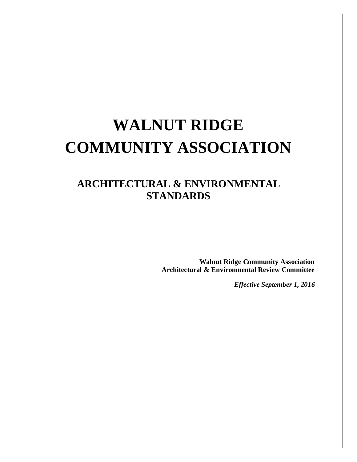# **WALNUT RIDGE COMMUNITY ASSOCIATION**

## **ARCHITECTURAL & ENVIRONMENTAL STANDARDS**

**Walnut Ridge Community Association Architectural & Environmental Review Committee**

*Effective September 1, 2016*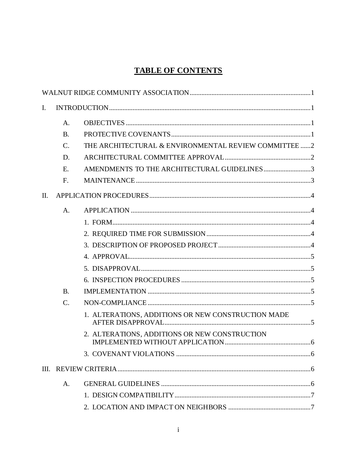## **TABLE OF CONTENTS**

| $\mathbf{I}$ . |                 |                                                       |  |
|----------------|-----------------|-------------------------------------------------------|--|
|                | А.              |                                                       |  |
|                | <b>B.</b>       |                                                       |  |
|                | $\mathcal{C}$ . | THE ARCHITECTURAL & ENVIRONMENTAL REVIEW COMMITTEE  2 |  |
|                | D.              |                                                       |  |
|                | E.              | AMENDMENTS TO THE ARCHITECTURAL GUIDELINES3           |  |
|                | F.              |                                                       |  |
| Π.             |                 |                                                       |  |
|                | A.              |                                                       |  |
|                |                 |                                                       |  |
|                |                 |                                                       |  |
|                |                 |                                                       |  |
|                |                 |                                                       |  |
|                |                 |                                                       |  |
|                |                 |                                                       |  |
|                | <b>B.</b>       |                                                       |  |
|                | $C$ .           |                                                       |  |
|                |                 | 1. ALTERATIONS, ADDITIONS OR NEW CONSTRUCTION MADE    |  |
|                |                 | 2. ALTERATIONS, ADDITIONS OR NEW CONSTRUCTION         |  |
|                |                 |                                                       |  |
|                |                 |                                                       |  |
|                | A.              |                                                       |  |
|                |                 |                                                       |  |
|                |                 |                                                       |  |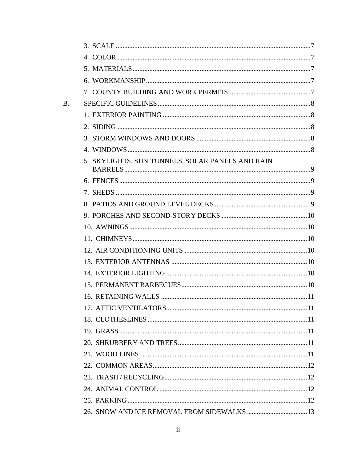| <b>B.</b> |                                                  |  |
|-----------|--------------------------------------------------|--|
|           |                                                  |  |
|           |                                                  |  |
|           |                                                  |  |
|           |                                                  |  |
|           | 5. SKYLIGHTS, SUN TUNNELS, SOLAR PANELS AND RAIN |  |
|           |                                                  |  |
|           |                                                  |  |
|           |                                                  |  |
|           |                                                  |  |
|           |                                                  |  |
|           |                                                  |  |
|           |                                                  |  |
|           |                                                  |  |
|           |                                                  |  |
|           |                                                  |  |
|           |                                                  |  |
|           |                                                  |  |
|           |                                                  |  |
|           |                                                  |  |
|           |                                                  |  |
|           |                                                  |  |
|           |                                                  |  |
|           |                                                  |  |
|           |                                                  |  |
|           |                                                  |  |
|           |                                                  |  |

## $\overline{\textbf{ii}}$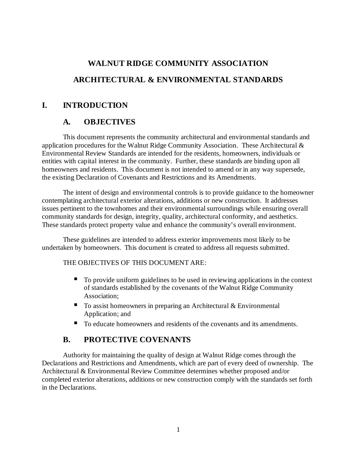## **WALNUT RIDGE COMMUNITY ASSOCIATION ARCHITECTURAL & ENVIRONMENTAL STANDARDS**

## **I. INTRODUCTION**

## **A. OBJECTIVES**

This document represents the community architectural and environmental standards and application procedures for the Walnut Ridge Community Association. These Architectural & Environmental Review Standards are intended for the residents, homeowners, individuals or entities with capital interest in the community. Further, these standards are binding upon all homeowners and residents. This document is not intended to amend or in any way supersede, the existing Declaration of Covenants and Restrictions and its Amendments.

The intent of design and environmental controls is to provide guidance to the homeowner contemplating architectural exterior alterations, additions or new construction. It addresses issues pertinent to the townhomes and their environmental surroundings while ensuring overall community standards for design, integrity, quality, architectural conformity, and aesthetics. These standards protect property value and enhance the community's overall environment.

These guidelines are intended to address exterior improvements most likely to be undertaken by homeowners. This document is created to address all requests submitted.

#### THE OBJECTIVES OF THIS DOCUMENT ARE:

- To provide uniform guidelines to be used in reviewing applications in the context of standards established by the covenants of the Walnut Ridge Community Association;
- $\blacksquare$  To assist homeowners in preparing an Architectural & Environmental Application; and
- To educate homeowners and residents of the covenants and its amendments.

## **B. PROTECTIVE COVENANTS**

Authority for maintaining the quality of design at Walnut Ridge comes through the Declarations and Restrictions and Amendments, which are part of every deed of ownership. The Architectural & Environmental Review Committee determines whether proposed and/or completed exterior alterations, additions or new construction comply with the standards set forth in the Declarations.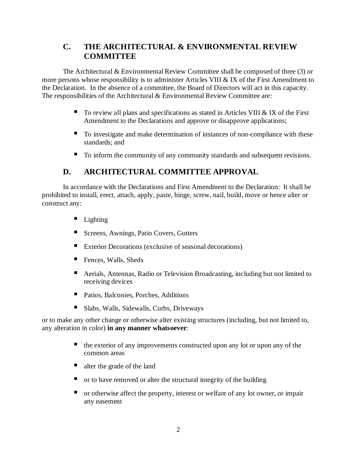## **C. THE ARCHITECTURAL & ENVIRONMENTAL REVIEW COMMITTEE**

The Architectural & Environmental Review Committee shall be composed of three (3) or more persons whose responsibility is to administer Articles VIII & IX of the First Amendment to the Declaration. In the absence of a committee, the Board of Directors will act in this capacity. The responsibilities of the Architectural & Environmental Review Committee are:

- $\blacksquare$  To review all plans and specifications as stated in Articles VIII & IX of the First Amendment to the Declarations and approve or disapprove applications;
- To investigate and make determination of instances of non-compliance with these standards; and
- To inform the community of any community standards and subsequent revisions.

## **D. ARCHITECTURAL COMMITTEE APPROVAL**

In accordance with the Declarations and First Amendment to the Declaration: It shall be prohibited to install, erect, attach, apply, paste, hinge, screw, nail, build, move or hence alter or construct any:

- Lighting
- Screens, Awnings, Patio Covers, Gutters
- Exterior Decorations (exclusive of seasonal decorations)
- Fences, Walls, Sheds
- Aerials, Antennas, Radio or Television Broadcasting, including but not limited to receiving devices
- Patios, Balconies, Porches, Additions
- Slabs, Walls, Sidewalls, Curbs, Driveways

or to make any other change or otherwise alter existing structures (including, but not limited to, any alteration in color) **in any manner whatsoever**:

- $\blacksquare$  the exterior of any improvements constructed upon any lot or upon any of the common areas
- alter the grade of the land
- $\blacksquare$  or to have removed or alter the structural integrity of the building
- or otherwise affect the property, interest or welfare of any lot owner, or impair any easement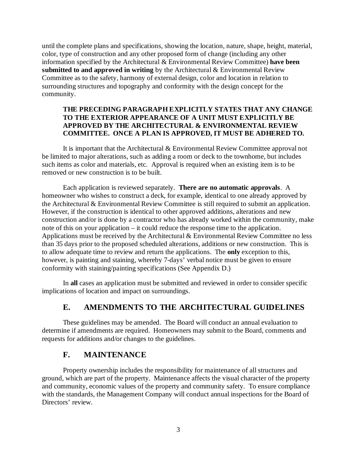until the complete plans and specifications, showing the location, nature, shape, height, material, color, type of construction and any other proposed form of change (including any other information specified by the Architectural & Environmental Review Committee) **have been submitted to and approved in writing** by the Architectural & Environmental Review Committee as to the safety, harmony of external design, color and location in relation to surrounding structures and topography and conformity with the design concept for the community.

#### **THE PRECEDING PARAGRAPH EXPLICITLY STATES THAT ANY CHANGE TO THE EXTERIOR APPEARANCE OF A UNIT MUST EXPLICITLY BE APPROVED BY THE ARCHITECTURAL & ENVIRONMENTAL REVIEW COMMITTEE. ONCE A PLAN IS APPROVED, IT MUST BE ADHERED TO.**

It is important that the Architectural & Environmental Review Committee approval not be limited to major alterations, such as adding a room or deck to the townhome, but includes such items as color and materials, etc. Approval is required when an existing item is to be removed or new construction is to be built.

Each application is reviewed separately. **There are no automatic approvals**. A homeowner who wishes to construct a deck, for example, identical to one already approved by the Architectural & Environmental Review Committee is still required to submit an application. However, if the construction is identical to other approved additions, alterations and new construction and/or is done by a contractor who has already worked within the community, make note of this on your application – it could reduce the response time to the application. Applications must be received by the Architectural & Environmental Review Committee no less than 35 days prior to the proposed scheduled alterations, additions or new construction. This is to allow adequate time to review and return the applications. The **only** exception to this, however, is painting and staining, whereby 7-days' verbal notice must be given to ensure conformity with staining/painting specifications (See Appendix D.)

In **all** cases an application must be submitted and reviewed in order to consider specific implications of location and impact on surroundings.

#### **E. AMENDMENTS TO THE ARCHITECTURAL GUIDELINES**

These guidelines may be amended. The Board will conduct an annual evaluation to determine if amendments are required. Homeowners may submit to the Board, comments and requests for additions and/or changes to the guidelines.

#### **F. MAINTENANCE**

Property ownership includes the responsibility for maintenance of all structures and ground, which are part of the property. Maintenance affects the visual character of the property and community, economic values of the property and community safety. To ensure compliance with the standards, the Management Company will conduct annual inspections for the Board of Directors' review.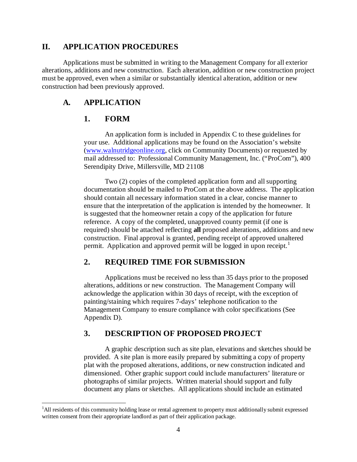#### **II. APPLICATION PROCEDURES**

Applications must be submitted in writing to the Management Company for all exterior alterations, additions and new construction. Each alteration, addition or new construction project must be approved, even when a similar or substantially identical alteration, addition or new construction had been previously approved.

#### **A. APPLICATION**

#### **1. FORM**

An application form is included in Appendix C to these guidelines for your use. Additional applications may be found on the Association's website [\(www.walnutridgeonline.org,](http://www.walnutridgeonline.org/) click on Community Documents) or requested by mail addressed to: Professional Community Management, Inc. ("ProCom"), 400 Serendipity Drive, Millersville, MD 21108

Two (2) copies of the completed application form and all supporting documentation should be mailed to ProCom at the above address. The application should contain all necessary information stated in a clear, concise manner to ensure that the interpretation of the application is intended by the homeowner. It is suggested that the homeowner retain a copy of the application for future reference. A copy of the completed, unapproved county permit (if one is required) should be attached reflecting **all** proposed alterations, additions and new construction. Final approval is granted, pending receipt of approved unaltered permit. Application and approved permit will be logged in upon receipt.<sup>[1](#page--1-0)</sup>

## **2. REQUIRED TIME FOR SUBMISSION**

Applications must be received no less than 35 days prior to the proposed alterations, additions or new construction. The Management Company will acknowledge the application within 30 days of receipt, with the exception of painting/staining which requires 7-days' telephone notification to the Management Company to ensure compliance with color specifications (See Appendix D).

#### **3. DESCRIPTION OF PROPOSED PROJECT**

A graphic description such as site plan, elevations and sketches should be provided. A site plan is more easily prepared by submitting a copy of property plat with the proposed alterations, additions, or new construction indicated and dimensioned. Other graphic support could include manufacturers' literature or photographs of similar projects. Written material should support and fully document any plans or sketches. All applications should include an estimated

<span id="page-7-0"></span> $\frac{1}{1}$ <sup>1</sup>All residents of this community holding lease or rental agreement to property must additionally submit expressed written consent from their appropriate landlord as part of their application package.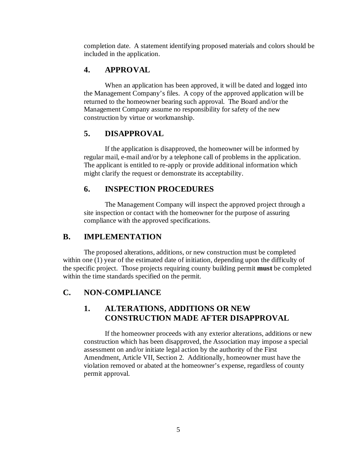completion date. A statement identifying proposed materials and colors should be included in the application.

## **4. APPROVAL**

When an application has been approved, it will be dated and logged into the Management Company's files. A copy of the approved application will be returned to the homeowner bearing such approval. The Board and/or the Management Company assume no responsibility for safety of the new construction by virtue or workmanship.

## **5. DISAPPROVAL**

If the application is disapproved, the homeowner will be informed by regular mail, e-mail and/or by a telephone call of problems in the application. The applicant is entitled to re-apply or provide additional information which might clarify the request or demonstrate its acceptability.

## **6. INSPECTION PROCEDURES**

The Management Company will inspect the approved project through a site inspection or contact with the homeowner for the purpose of assuring compliance with the approved specifications.

## **B. IMPLEMENTATION**

The proposed alterations, additions, or new construction must be completed within one (1) year of the estimated date of initiation, depending upon the difficulty of the specific project. Those projects requiring county building permit **must** be completed within the time standards specified on the permit.

## **C. NON-COMPLIANCE**

## **1. ALTERATIONS, ADDITIONS OR NEW CONSTRUCTION MADE AFTER DISAPPROVAL**

If the homeowner proceeds with any exterior alterations, additions or new construction which has been disapproved, the Association may impose a special assessment on and/or initiate legal action by the authority of the First Amendment, Article VII, Section 2. Additionally, homeowner must have the violation removed or abated at the homeowner's expense, regardless of county permit approval.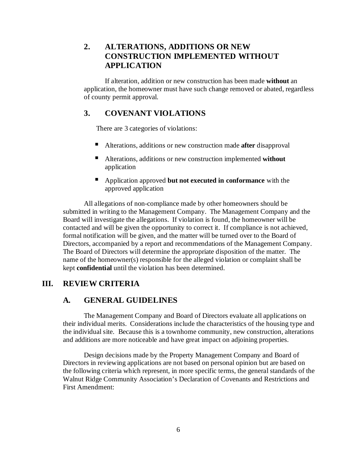## **2. ALTERATIONS, ADDITIONS OR NEW CONSTRUCTION IMPLEMENTED WITHOUT APPLICATION**

If alteration, addition or new construction has been made **without** an application, the homeowner must have such change removed or abated, regardless of county permit approval.

### **3. COVENANT VIOLATIONS**

There are 3 categories of violations:

- Alterations, additions or new construction made **after** disapproval
- Alterations, additions or new construction implemented **without** application
- Application approved **but not executed in conformance** with the approved application

All allegations of non-compliance made by other homeowners should be submitted in writing to the Management Company. The Management Company and the Board will investigate the allegations. If violation is found, the homeowner will be contacted and will be given the opportunity to correct it. If compliance is not achieved, formal notification will be given, and the matter will be turned over to the Board of Directors, accompanied by a report and recommendations of the Management Company. The Board of Directors will determine the appropriate disposition of the matter. The name of the homeowner(s) responsible for the alleged violation or complaint shall be kept **confidential** until the violation has been determined.

#### **III. REVIEW CRITERIA**

#### **A. GENERAL GUIDELINES**

The Management Company and Board of Directors evaluate all applications on their individual merits. Considerations include the characteristics of the housing type and the individual site. Because this is a townhome community, new construction, alterations and additions are more noticeable and have great impact on adjoining properties.

Design decisions made by the Property Management Company and Board of Directors in reviewing applications are not based on personal opinion but are based on the following criteria which represent, in more specific terms, the general standards of the Walnut Ridge Community Association's Declaration of Covenants and Restrictions and First Amendment: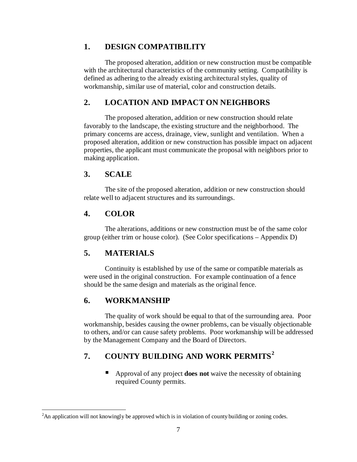## **1. DESIGN COMPATIBILITY**

The proposed alteration, addition or new construction must be compatible with the architectural characteristics of the community setting. Compatibility is defined as adhering to the already existing architectural styles, quality of workmanship, similar use of material, color and construction details.

## **2. LOCATION AND IMPACT ON NEIGHBORS**

The proposed alteration, addition or new construction should relate favorably to the landscape, the existing structure and the neighborhood. The primary concerns are access, drainage, view, sunlight and ventilation. When a proposed alteration, addition or new construction has possible impact on adjacent properties, the applicant must communicate the proposal with neighbors prior to making application.

## **3. SCALE**

The site of the proposed alteration, addition or new construction should relate well to adjacent structures and its surroundings.

## **4. COLOR**

The alterations, additions or new construction must be of the same color group (either trim or house color). (See Color specifications – Appendix D)

## **5. MATERIALS**

Continuity is established by use of the same or compatible materials as were used in the original construction. For example continuation of a fence should be the same design and materials as the original fence.

## **6. WORKMANSHIP**

The quality of work should be equal to that of the surrounding area. Poor workmanship, besides causing the owner problems, can be visually objectionable to others, and/or can cause safety problems. Poor workmanship will be addressed by the Management Company and the Board of Directors.

## **7. COUNTY BUILDING AND WORK PERMITS[2](#page-7-0)**

Approval of any project **does not** waive the necessity of obtaining required County permits.

<span id="page-10-0"></span> $\frac{1}{2}$ <sup>2</sup>An application will not knowingly be approved which is in violation of county building or zoning codes.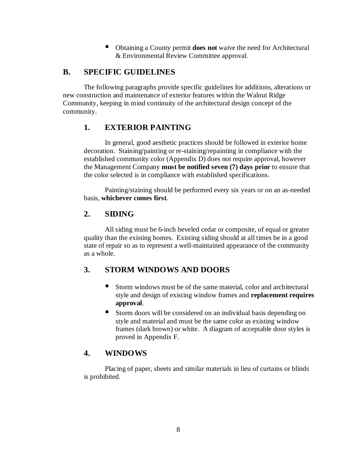Obtaining a County permit **does not** waive the need for Architectural & Environmental Review Committee approval.

#### **B. SPECIFIC GUIDELINES**

The following paragraphs provide specific guidelines for additions, alterations or new construction and maintenance of exterior features within the Walnut Ridge Community, keeping in mind continuity of the architectural design concept of the community.

#### **1. EXTERIOR PAINTING**

In general, good aesthetic practices should be followed in exterior home decoration. Staining/painting or re-staining/repainting in compliance with the established community color (Appendix D) does not require approval, however the Management Company **must be notified seven (7) days prior** to ensure that the color selected is in compliance with established specifications.

Painting/staining should be performed every six years or on an as-needed basis, **whichever comes first**.

#### **2. SIDING**

All siding must be 6-inch beveled cedar or composite, of equal or greater quality than the existing homes. Existing siding should at all times be in a good state of repair so as to represent a well-maintained appearance of the community as a whole.

#### **3. STORM WINDOWS AND DOORS**

- Storm windows must be of the same material, color and architectural style and design of existing window frames and **replacement requires approval**.
- Storm doors will be considered on an individual basis depending on style and material and must be the same color as existing window frames (dark brown) or white. A diagram of acceptable door styles is proved in Appendix F.

#### **4. WINDOWS**

Placing of paper, sheets and similar materials in lieu of curtains or blinds is prohibited.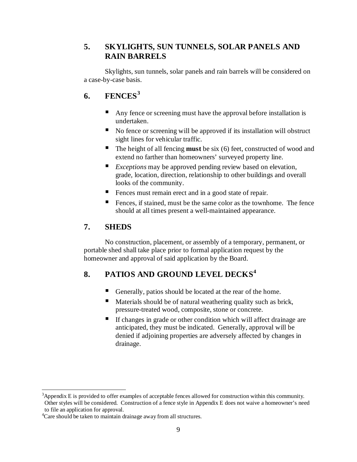## **5. SKYLIGHTS, SUN TUNNELS, SOLAR PANELS AND RAIN BARRELS**

Skylights, sun tunnels, solar panels and rain barrels will be considered on a case-by-case basis.

## **6. FENCES[3](#page-10-0)**

- Any fence or screening must have the approval before installation is undertaken.
- No fence or screening will be approved if its installation will obstruct sight lines for vehicular traffic.
- The height of all fencing **must** be six (6) feet, constructed of wood and extend no farther than homeowners' surveyed property line.
- *Exceptions* may be approved pending review based on elevation, grade, location, direction, relationship to other buildings and overall looks of the community.
- Fences must remain erect and in a good state of repair.
- Fences, if stained, must be the same color as the townhome. The fence should at all times present a well-maintained appearance.

## **7. SHEDS**

No construction, placement, or assembly of a temporary, permanent, or portable shed shall take place prior to formal application request by the homeowner and approval of said application by the Board.

## **8. PATIOS AND GROUND LEVEL DECKS[4](#page-12-0)**

- Generally, patios should be located at the rear of the home.
- Materials should be of natural weathering quality such as brick, pressure-treated wood, composite, stone or concrete.
- If changes in grade or other condition which will affect drainage are anticipated, they must be indicated. Generally, approval will be denied if adjoining properties are adversely affected by changes in drainage.

 $\frac{1}{3}$ <sup>3</sup>Appendix E is provided to offer examples of acceptable fences allowed for construction within this community. Other styles will be considered. Construction of a fence style in Appendix E does not waive a homeowner's need to file an application for approval.

<span id="page-12-0"></span><sup>&</sup>lt;sup>4</sup>Care should be taken to maintain drainage away from all structures.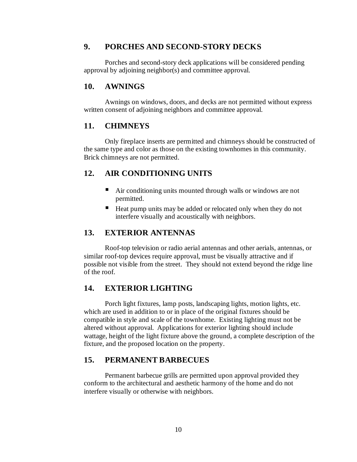#### **9. PORCHES AND SECOND-STORY DECKS**

Porches and second-story deck applications will be considered pending approval by adjoining neighbor(s) and committee approval.

#### **10. AWNINGS**

Awnings on windows, doors, and decks are not permitted without express written consent of adjoining neighbors and committee approval.

#### **11. CHIMNEYS**

Only fireplace inserts are permitted and chimneys should be constructed of the same type and color as those on the existing townhomes in this community. Brick chimneys are not permitted.

#### **12. AIR CONDITIONING UNITS**

- Air conditioning units mounted through walls or windows are not permitted.
- Heat pump units may be added or relocated only when they do not interfere visually and acoustically with neighbors.

#### **13. EXTERIOR ANTENNAS**

Roof-top television or radio aerial antennas and other aerials, antennas, or similar roof-top devices require approval, must be visually attractive and if possible not visible from the street. They should not extend beyond the ridge line of the roof.

#### **14. EXTERIOR LIGHTING**

Porch light fixtures, lamp posts, landscaping lights, motion lights, etc. which are used in addition to or in place of the original fixtures should be compatible in style and scale of the townhome. Existing lighting must not be altered without approval. Applications for exterior lighting should include wattage, height of the light fixture above the ground, a complete description of the fixture, and the proposed location on the property.

#### **15. PERMANENT BARBECUES**

Permanent barbecue grills are permitted upon approval provided they conform to the architectural and aesthetic harmony of the home and do not interfere visually or otherwise with neighbors.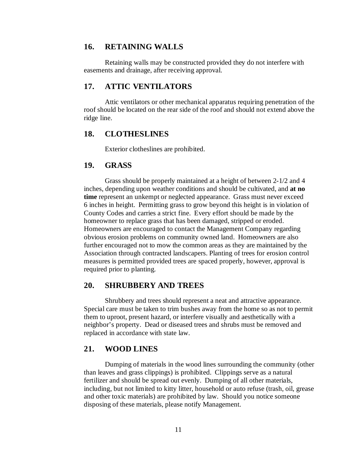#### **16. RETAINING WALLS**

Retaining walls may be constructed provided they do not interfere with easements and drainage, after receiving approval.

#### **17. ATTIC VENTILATORS**

Attic ventilators or other mechanical apparatus requiring penetration of the roof should be located on the rear side of the roof and should not extend above the ridge line.

#### **18. CLOTHESLINES**

Exterior clotheslines are prohibited.

#### **19. GRASS**

Grass should be properly maintained at a height of between 2-1/2 and 4 inches, depending upon weather conditions and should be cultivated, and **at no time** represent an unkempt or neglected appearance. Grass must never exceed 6 inches in height. Permitting grass to grow beyond this height is in violation of County Codes and carries a strict fine. Every effort should be made by the homeowner to replace grass that has been damaged, stripped or eroded. Homeowners are encouraged to contact the Management Company regarding obvious erosion problems on community owned land. Homeowners are also further encouraged not to mow the common areas as they are maintained by the Association through contracted landscapers. Planting of trees for erosion control measures is permitted provided trees are spaced properly, however, approval is required prior to planting.

#### **20. SHRUBBERY AND TREES**

Shrubbery and trees should represent a neat and attractive appearance. Special care must be taken to trim bushes away from the home so as not to permit them to uproot, present hazard, or interfere visually and aesthetically with a neighbor's property. Dead or diseased trees and shrubs must be removed and replaced in accordance with state law.

#### **21. WOOD LINES**

Dumping of materials in the wood lines surrounding the community (other than leaves and grass clippings) is prohibited. Clippings serve as a natural fertilizer and should be spread out evenly. Dumping of all other materials, including, but not limited to kitty litter, household or auto refuse (trash, oil, grease and other toxic materials) are prohibited by law. Should you notice someone disposing of these materials, please notify Management.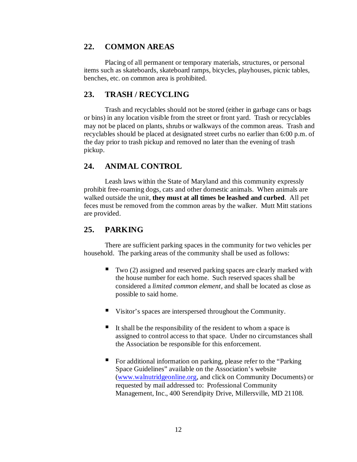#### **22. COMMON AREAS**

Placing of all permanent or temporary materials, structures, or personal items such as skateboards, skateboard ramps, bicycles, playhouses, picnic tables, benches, etc. on common area is prohibited.

#### **23. TRASH / RECYCLING**

Trash and recyclables should not be stored (either in garbage cans or bags or bins) in any location visible from the street or front yard. Trash or recyclables may not be placed on plants, shrubs or walkways of the common areas. Trash and recyclables should be placed at designated street curbs no earlier than 6:00 p.m. of the day prior to trash pickup and removed no later than the evening of trash pickup.

#### **24. ANIMAL CONTROL**

Leash laws within the State of Maryland and this community expressly prohibit free-roaming dogs, cats and other domestic animals. When animals are walked outside the unit, **they must at all times be leashed and curbed**. All pet feces must be removed from the common areas by the walker. Mutt Mitt stations are provided.

#### **25. PARKING**

There are sufficient parking spaces in the community for two vehicles per household. The parking areas of the community shall be used as follows:

- $\blacksquare$  Two (2) assigned and reserved parking spaces are clearly marked with the house number for each home. Such reserved spaces shall be considered a *limited common element*, and shall be located as close as possible to said home.
- Visitor's spaces are interspersed throughout the Community.
- It shall be the responsibility of the resident to whom a space is assigned to control access to that space. Under no circumstances shall the Association be responsible for this enforcement.
- For additional information on parking, please refer to the "Parking Space Guidelines" available on the Association's website [\(www.walnutridgeonline.org,](http://www.walnutridgeonline.org/) and click on Community Documents) or requested by mail addressed to: Professional Community Management, Inc., 400 Serendipity Drive, Millersville, MD 21108.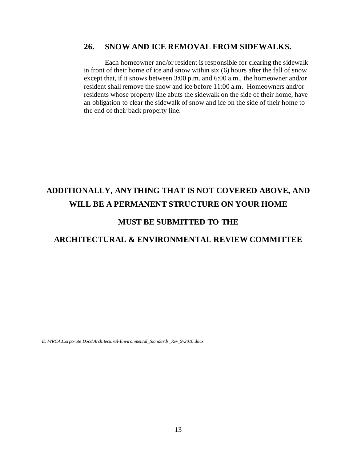#### **26. SNOW AND ICE REMOVAL FROM SIDEWALKS.**

Each homeowner and/or resident is responsible for clearing the sidewalk in front of their home of ice and snow within six (6) hours after the fall of snow except that, if it snows between 3:00 p.m. and 6:00 a.m., the homeowner and/or resident shall remove the snow and ice before 11:00 a.m. Homeowners and/or residents whose property line abuts the sidewalk on the side of their home, have an obligation to clear the sidewalk of snow and ice on the side of their home to the end of their back property line.

## **ADDITIONALLY, ANYTHING THAT IS NOT COVERED ABOVE, AND WILL BE A PERMANENT STRUCTURE ON YOUR HOME**

#### **MUST BE SUBMITTED TO THE**

#### **ARCHITECTURAL & ENVIRONMENTAL REVIEW COMMITTEE**

*E:\WRCA\Corporate Docs\Architectural-Environmental\_Standards\_Rev\_9-2016.docx*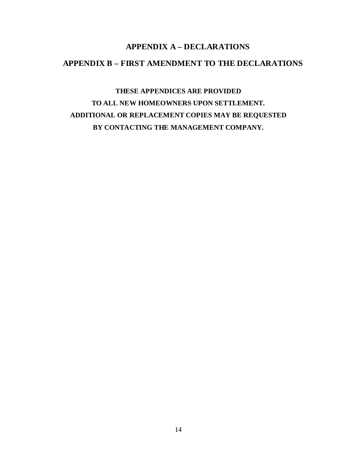## **APPENDIX A – DECLARATIONS APPENDIX B – FIRST AMENDMENT TO THE DECLARATIONS**

**THESE APPENDICES ARE PROVIDED TO ALL NEW HOMEOWNERS UPON SETTLEMENT. ADDITIONAL OR REPLACEMENT COPIES MAY BE REQUESTED BY CONTACTING THE MANAGEMENT COMPANY.**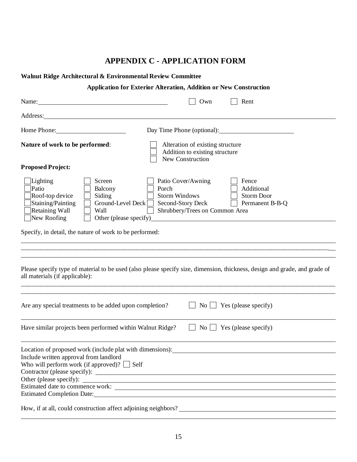## **APPENDIX C - APPLICATION FORM**

| Walnut Ridge Architectural & Environmental Review Committee                                                                                                                                                                          |                                                                                                                                                                                                                   |  |  |  |  |  |  |
|--------------------------------------------------------------------------------------------------------------------------------------------------------------------------------------------------------------------------------------|-------------------------------------------------------------------------------------------------------------------------------------------------------------------------------------------------------------------|--|--|--|--|--|--|
| <b>Application for Exterior Alteration, Addition or New Construction</b>                                                                                                                                                             |                                                                                                                                                                                                                   |  |  |  |  |  |  |
| Name:                                                                                                                                                                                                                                | Own<br>Rent                                                                                                                                                                                                       |  |  |  |  |  |  |
| Address: <u>New York: Address: New York: New York: New York: New York: New York: New York: New York: New York: New York: New York: New York: New York: New York: New York: New York: New York: New York: New York: New York: New</u> |                                                                                                                                                                                                                   |  |  |  |  |  |  |
| Home Phone:                                                                                                                                                                                                                          | Day Time Phone (optional):                                                                                                                                                                                        |  |  |  |  |  |  |
| Nature of work to be performed:                                                                                                                                                                                                      | Alteration of existing structure<br>Addition to existing structure<br>New Construction                                                                                                                            |  |  |  |  |  |  |
| <b>Proposed Project:</b>                                                                                                                                                                                                             |                                                                                                                                                                                                                   |  |  |  |  |  |  |
| Lighting<br>Screen<br>Patio<br>Balcony<br>Porch<br>Roof-top device<br>Siding<br>Ground-Level Deck<br>Staining/Painting<br>$\mathcal{L}$<br>Retaining Wall<br><b>Wall</b><br>New Roofing<br>Other (please specify)                    | Patio Cover/Awning<br>Fence<br>Additional<br><b>Storm Windows</b><br><b>Storm Door</b><br>Second-Story Deck<br>Permanent B-B-Q<br>Shrubbery/Trees on Common Area<br><u> 1980 - Andrea Andrew Maria (h. 1980).</u> |  |  |  |  |  |  |
| Specify, in detail, the nature of work to be performed:                                                                                                                                                                              |                                                                                                                                                                                                                   |  |  |  |  |  |  |
|                                                                                                                                                                                                                                      |                                                                                                                                                                                                                   |  |  |  |  |  |  |
| all materials (if applicable):                                                                                                                                                                                                       | Please specify type of material to be used (also please specify size, dimension, thickness, design and grade, and grade of                                                                                        |  |  |  |  |  |  |
|                                                                                                                                                                                                                                      |                                                                                                                                                                                                                   |  |  |  |  |  |  |
| Are any special treatments to be added upon completion?                                                                                                                                                                              | $\blacksquare$ Yes (please specify)<br>$\overline{N_{O}}$                                                                                                                                                         |  |  |  |  |  |  |
| Have similar projects been performed within Walnut Ridge?                                                                                                                                                                            | No <sub>1</sub><br>$\Box$ Yes (please specify)                                                                                                                                                                    |  |  |  |  |  |  |
| Location of proposed work (include plat with dimensions):                                                                                                                                                                            |                                                                                                                                                                                                                   |  |  |  |  |  |  |
| Include written approval from landlord<br>Who will perform work (if approved)? $\Box$ Self                                                                                                                                           |                                                                                                                                                                                                                   |  |  |  |  |  |  |
| Other (please specify):                                                                                                                                                                                                              |                                                                                                                                                                                                                   |  |  |  |  |  |  |
| Estimated Completion Date:                                                                                                                                                                                                           |                                                                                                                                                                                                                   |  |  |  |  |  |  |
| How, if at all, could construction affect adjoining neighbors?                                                                                                                                                                       |                                                                                                                                                                                                                   |  |  |  |  |  |  |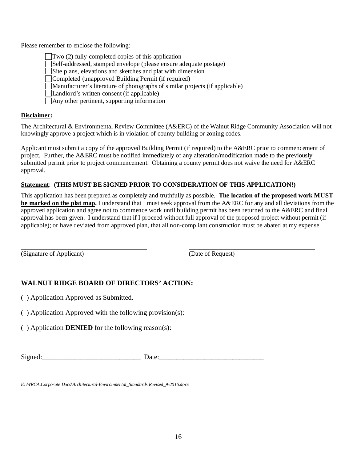Please remember to enclose the following:

Two (2) fully-completed copies of this application Self-addressed, stamped envelope (please ensure adequate postage) Site plans, elevations and sketches and plat with dimension Completed (unapproved Building Permit (if required) Manufacturer's literature of photographs of similar projects (if applicable) Landlord's written consent (if applicable) Any other pertinent, supporting information

#### **Disclaimer:**

The Architectural & Environmental Review Committee (A&ERC) of the Walnut Ridge Community Association will not knowingly approve a project which is in violation of county building or zoning codes.

Applicant must submit a copy of the approved Building Permit (if required) to the A&ERC prior to commencement of project. Further, the A&ERC must be notified immediately of any alteration/modification made to the previously submitted permit prior to project commencement. Obtaining a county permit does not waive the need for A&ERC approval.

#### **Statement**: **(THIS MUST BE SIGNED PRIOR TO CONSIDERATION OF THIS APPLICATION!)**

This application has been prepared as completely and truthfully as possible. **The location of the proposed work MUST be marked on the plat map.** I understand that I must seek approval from the A&ERC for any and all deviations from the approved application and agree not to commence work until building permit has been returned to the A&ERC and final approval has been given. I understand that if I proceed without full approval of the proposed project without permit (if applicable); or have deviated from approved plan, that all non-compliant construction must be abated at my expense.

(Signature of Applicant) (Date of Request)

#### **WALNUT RIDGE BOARD OF DIRECTORS' ACTION:**

( ) Application Approved as Submitted.

( ) Application Approved with the following provision(s):

( ) Application **DENIED** for the following reason(s):

| Signed |  |
|--------|--|
|        |  |

*E:\WRCA\Corporate Docs\Architectural-Environmental\_Standards Revised\_9-2016.docx*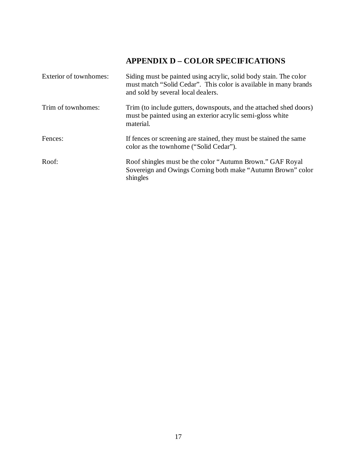## **APPENDIX D – COLOR SPECIFICATIONS**

| Exterior of townhomes: | Siding must be painted using acrylic, solid body stain. The color<br>must match "Solid Cedar". This color is available in many brands<br>and sold by several local dealers. |
|------------------------|-----------------------------------------------------------------------------------------------------------------------------------------------------------------------------|
| Trim of townhomes:     | Trim (to include gutters, downspouts, and the attached shed doors)<br>must be painted using an exterior acrylic semi-gloss white<br>material.                               |
| Fences:                | If fences or screening are stained, they must be stained the same<br>color as the townhome ("Solid Cedar").                                                                 |
| Roof:                  | Roof shingles must be the color "Autumn Brown." GAF Royal<br>Sovereign and Owings Corning both make "Autumn Brown" color<br>shingles                                        |